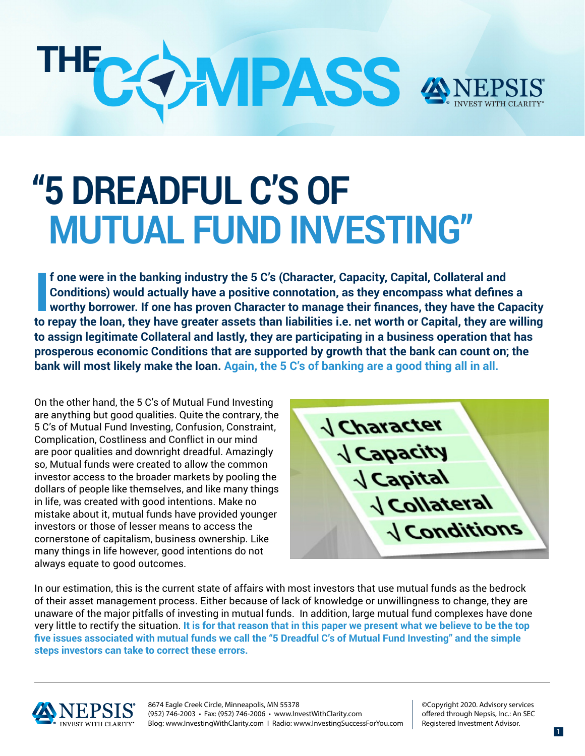THE COMPASS AND



# **"5 DREADFUL C'S OF MUTUAL FUND INVESTING"**

**I** fone were in the banking industry the 5 C's (Character, Capacity, Capital, Collateral and Conditions) would actually have a positive connotation, as they encompass what defines a worthy borrower. If one has proven Char **f one were in the banking industry the 5 C's (Character, Capacity, Capital, Collateral and Conditions) would actually have a positive connotation, as they encompass what defines a worthy borrower. If one has proven Character to manage their finances, they have the Capacity to assign legitimate Collateral and lastly, they are participating in a business operation that has prosperous economic Conditions that are supported by growth that the bank can count on; the bank will most likely make the loan. Again, the 5 C's of banking are a good thing all in all.**

On the other hand, the 5 C's of Mutual Fund Investing are anything but good qualities. Quite the contrary, the 5 C's of Mutual Fund Investing, Confusion, Constraint, Complication, Costliness and Conflict in our mind are poor qualities and downright dreadful. Amazingly so, Mutual funds were created to allow the common investor access to the broader markets by pooling the dollars of people like themselves, and like many things in life, was created with good intentions. Make no mistake about it, mutual funds have provided younger investors or those of lesser means to access the cornerstone of capitalism, business ownership. Like many things in life however, good intentions do not always equate to good outcomes.

**J** Character **Vibsacity**  $\sqrt{Capital}$ **J** Collateral **J** Conditions

In our estimation, this is the current state of affairs with most investors that use mutual funds as the bedrock of their asset management process. Either because of lack of knowledge or unwillingness to change, they are unaware of the major pitfalls of investing in mutual funds. In addition, large mutual fund complexes have done very little to rectify the situation. **It is for that reason that in this paper we present what we believe to be the top five issues associated with mutual funds we call the "5 Dreadful C's of Mutual Fund Investing" and the simple steps investors can take to correct these errors.**

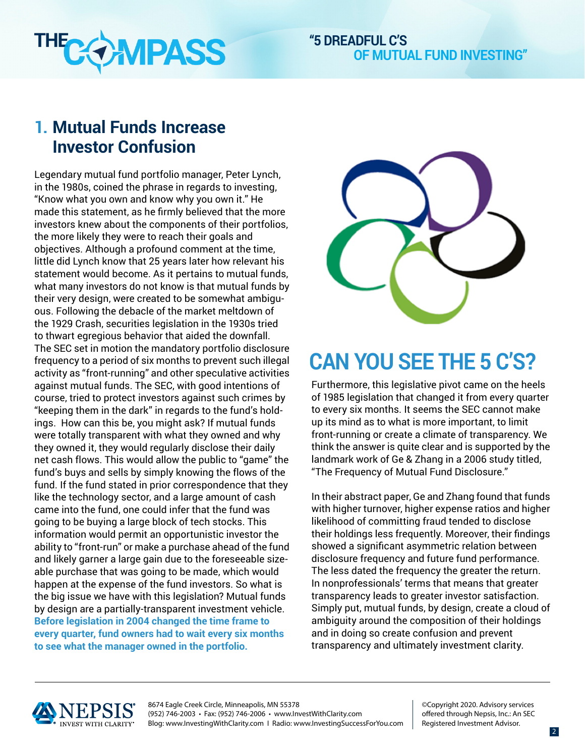

# **1. Mutual Funds Increase Investor Confusion**

Legendary mutual fund portfolio manager, Peter Lynch, in the 1980s, coined the phrase in regards to investing, "Know what you own and know why you own it." He made this statement, as he firmly believed that the more investors knew about the components of their portfolios, the more likely they were to reach their goals and objectives. Although a profound comment at the time, little did Lynch know that 25 years later how relevant his statement would become. As it pertains to mutual funds, what many investors do not know is that mutual funds by their very design, were created to be somewhat ambiguous. Following the debacle of the market meltdown of the 1929 Crash, securities legislation in the 1930s tried to thwart egregious behavior that aided the downfall. The SEC set in motion the mandatory portfolio disclosure frequency to a period of six months to prevent such illegal activity as "front-running" and other speculative activities against mutual funds. The SEC, with good intentions of course, tried to protect investors against such crimes by "keeping them in the dark" in regards to the fund's holdings. How can this be, you might ask? If mutual funds were totally transparent with what they owned and why they owned it, they would regularly disclose their daily net cash flows. This would allow the public to "game" the fund's buys and sells by simply knowing the flows of the fund. If the fund stated in prior correspondence that they like the technology sector, and a large amount of cash came into the fund, one could infer that the fund was going to be buying a large block of tech stocks. This information would permit an opportunistic investor the ability to "front-run" or make a purchase ahead of the fund and likely garner a large gain due to the foreseeable sizeable purchase that was going to be made, which would happen at the expense of the fund investors. So what is the big issue we have with this legislation? Mutual funds by design are a partially-transparent investment vehicle. **Before legislation in 2004 changed the time frame to every quarter, fund owners had to wait every six months to see what the manager owned in the portfolio.**



# **CAN YOU SEE THE 5 C'S?**

Furthermore, this legislative pivot came on the heels of 1985 legislation that changed it from every quarter to every six months. It seems the SEC cannot make up its mind as to what is more important, to limit front-running or create a climate of transparency. We think the answer is quite clear and is supported by the landmark work of Ge & Zhang in a 2006 study titled, "The Frequency of Mutual Fund Disclosure."

In their abstract paper, Ge and Zhang found that funds with higher turnover, higher expense ratios and higher likelihood of committing fraud tended to disclose their holdings less frequently. Moreover, their findings showed a significant asymmetric relation between disclosure frequency and future fund performance. The less dated the frequency the greater the return. In nonprofessionals' terms that means that greater transparency leads to greater investor satisfaction. Simply put, mutual funds, by design, create a cloud of ambiguity around the composition of their holdings and in doing so create confusion and prevent transparency and ultimately investment clarity.

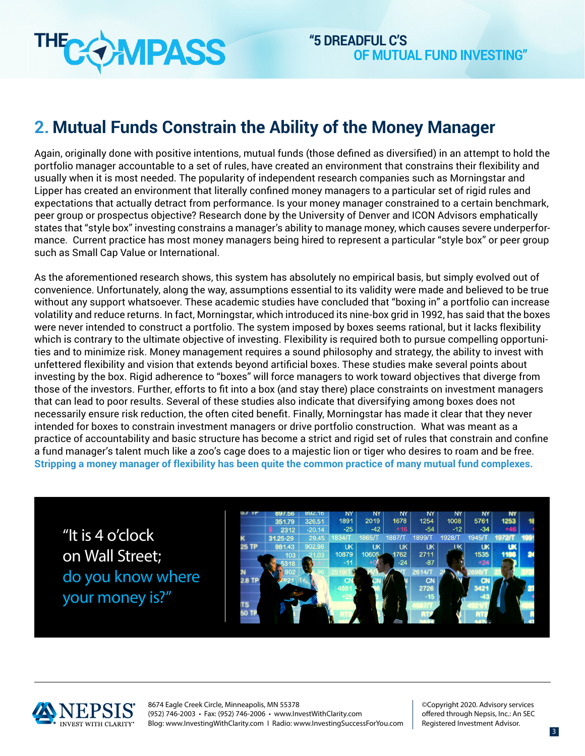

# **2. Mutual Funds Constrain the Ability of the Money Manager**

Again, originally done with positive intentions, mutual funds (those defined as diversified) in an attempt to hold the portfolio manager accountable to a set of rules, have created an environment that constrains their flexibility and usually when it is most needed. The popularity of independent research companies such as Morningstar and Lipper has created an environment that literally confined money managers to a particular set of rigid rules and expectations that actually detract from performance. Is your money manager constrained to a certain benchmark, peer group or prospectus objective? Research done by the University of Denver and ICON Advisors emphatically states that "style box" investing constrains a manager's ability to manage money, which causes severe underperformance. Current practice has most money managers being hired to represent a particular "style box" or peer group such as Small Cap Value or International.

As the aforementioned research shows, this system has absolutely no empirical basis, but simply evolved out of convenience. Unfortunately, along the way, assumptions essential to its validity were made and believed to be true without any support whatsoever. These academic studies have concluded that "boxing in" a portfolio can increase volatility and reduce returns. In fact, Morningstar, which introduced its nine-box grid in 1992, has said that the boxes were never intended to construct a portfolio. The system imposed by boxes seems rational, but it lacks flexibility which is contrary to the ultimate objective of investing. Flexibility is required both to pursue compelling opportunities and to minimize risk. Money management requires a sound philosophy and strategy, the ability to invest with unfettered flexibility and vision that extends beyond artificial boxes. These studies make several points about investing by the box. Rigid adherence to "boxes" will force managers to work toward objectives that diverge from those of the investors. Further, efforts to fit into a box (and stay there) place constraints on investment managers that can lead to poor results. Several of these studies also indicate that diversifying among boxes does not necessarily ensure risk reduction, the often cited benefit. Finally, Morningstar has made it clear that they never intended for boxes to constrain investment managers or drive portfolio construction. What was meant as a practice of accountability and basic structure has become a strict and rigid set of rules that constrain and confine a fund manager's talent much like a zoo's cage does to a majestic lion or tiger who desires to roam and be free. **Stripping a money manager of flexibility has been quite the common practice of many mutual fund complexes.** 

"It is 4 o'clock on Wall Street; do you know where your money is?"





8674 Eagle Creek Circle, Minneapolis, MN 55378 (952) 746-2003 • Fax: (952) 746-2006 • www.InvestWithClarity.com Blog: www.InvestingWithClarity.com I Radio: www.InvestingSuccessForYou.com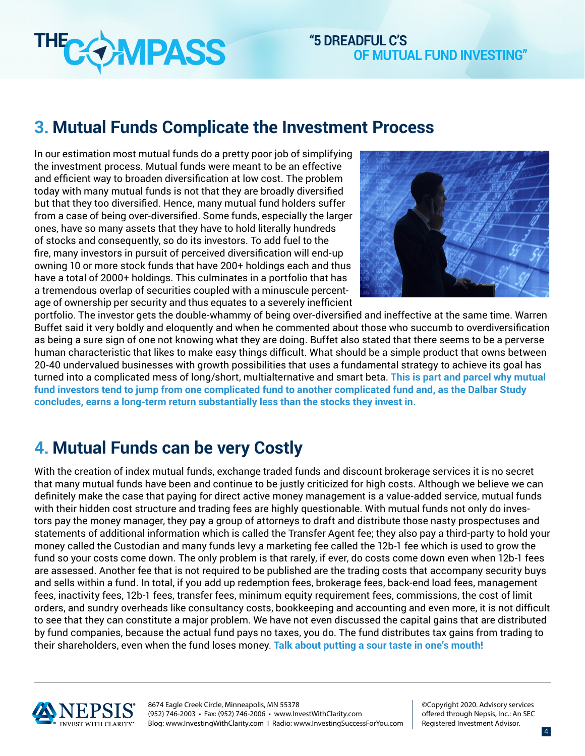

# **3. Mutual Funds Complicate the Investment Process**

In our estimation most mutual funds do a pretty poor job of simplifying the investment process. Mutual funds were meant to be an effective and efficient way to broaden diversification at low cost. The problem today with many mutual funds is not that they are broadly diversified but that they too diversified. Hence, many mutual fund holders suffer from a case of being over-diversified. Some funds, especially the larger ones, have so many assets that they have to hold literally hundreds of stocks and consequently, so do its investors. To add fuel to the fire, many investors in pursuit of perceived diversification will end-up owning 10 or more stock funds that have 200+ holdings each and thus have a total of 2000+ holdings. This culminates in a portfolio that has a tremendous overlap of securities coupled with a minuscule percentage of ownership per security and thus equates to a severely inefficient



portfolio. The investor gets the double-whammy of being over-diversified and ineffective at the same time. Warren Buffet said it very boldly and eloquently and when he commented about those who succumb to overdiversification as being a sure sign of one not knowing what they are doing. Buffet also stated that there seems to be a perverse human characteristic that likes to make easy things difficult. What should be a simple product that owns between 20-40 undervalued businesses with growth possibilities that uses a fundamental strategy to achieve its goal has turned into a complicated mess of long/short, multialternative and smart beta. **This is part and parcel why mutual fund investors tend to jump from one complicated fund to another complicated fund and, as the Dalbar Study concludes, earns a long-term return substantially less than the stocks they invest in.**

### **4. Mutual Funds can be very Costly**

With the creation of index mutual funds, exchange traded funds and discount brokerage services it is no secret that many mutual funds have been and continue to be justly criticized for high costs. Although we believe we can definitely make the case that paying for direct active money management is a value-added service, mutual funds with their hidden cost structure and trading fees are highly questionable. With mutual funds not only do investors pay the money manager, they pay a group of attorneys to draft and distribute those nasty prospectuses and statements of additional information which is called the Transfer Agent fee; they also pay a third-party to hold your money called the Custodian and many funds levy a marketing fee called the 12b-1 fee which is used to grow the fund so your costs come down. The only problem is that rarely, if ever, do costs come down even when 12b-1 fees are assessed. Another fee that is not required to be published are the trading costs that accompany security buys and sells within a fund. In total, if you add up redemption fees, brokerage fees, back-end load fees, management fees, inactivity fees, 12b-1 fees, transfer fees, minimum equity requirement fees, commissions, the cost of limit orders, and sundry overheads like consultancy costs, bookkeeping and accounting and even more, it is not difficult to see that they can constitute a major problem. We have not even discussed the capital gains that are distributed by fund companies, because the actual fund pays no taxes, you do. The fund distributes tax gains from trading to their shareholders, even when the fund loses money. **Talk about putting a sour taste in one's mouth!**